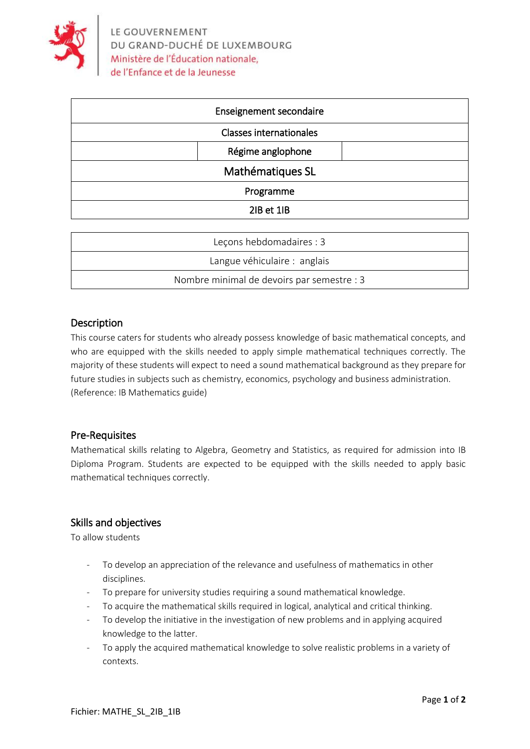

| Enseignement secondaire        |  |
|--------------------------------|--|
| <b>Classes internationales</b> |  |
| Régime anglophone              |  |
| Mathématiques SL               |  |
| Programme                      |  |
| 2IB et 1IB                     |  |

| Leçons hebdomadaires : 3                   |
|--------------------------------------------|
| Langue véhiculaire : anglais               |
| Nombre minimal de devoirs par semestre : 3 |

# Description

This course caters for students who already possess knowledge of basic mathematical concepts, and who are equipped with the skills needed to apply simple mathematical techniques correctly. The majority of these students will expect to need a sound mathematical background as they prepare for future studies in subjects such as chemistry, economics, psychology and business administration. (Reference: IB Mathematics guide)

#### Pre-Requisites

Mathematical skills relating to Algebra, Geometry and Statistics, as required for admission into IB Diploma Program. Students are expected to be equipped with the skills needed to apply basic mathematical techniques correctly.

# Skills and objectives

To allow students

- To develop an appreciation of the relevance and usefulness of mathematics in other disciplines.
- To prepare for university studies requiring a sound mathematical knowledge.
- To acquire the mathematical skills required in logical, analytical and critical thinking.
- To develop the initiative in the investigation of new problems and in applying acquired knowledge to the latter.
- To apply the acquired mathematical knowledge to solve realistic problems in a variety of contexts.